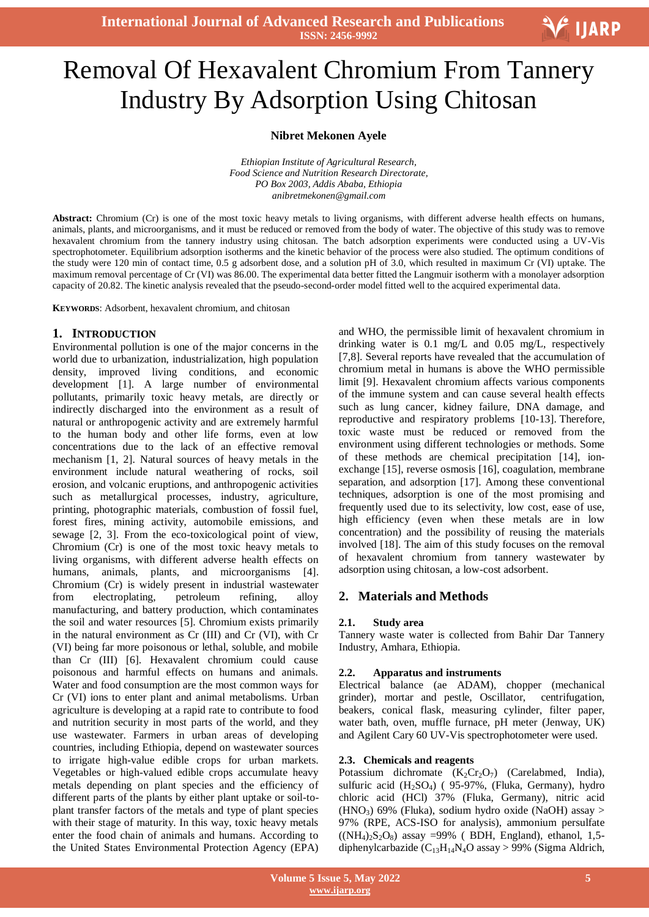

# Ξ Removal Of Hexavalent Chromium From Tannery Industry By Adsorption Using Chitosan

#### **Nibret Mekonen Ayele**

*Ethiopian Institute of Agricultural Research, Food Science and Nutrition Research Directorate, PO Box 2003, Addis Ababa, Ethiopia anibretmekonen@gmail.com*

Abstract: Chromium (Cr) is one of the most toxic heavy metals to living organisms, with different adverse health effects on humans, animals, plants, and microorganisms, and it must be reduced or removed from the body of water. The objective of this study was to remove hexavalent chromium from the tannery industry using chitosan. The batch adsorption experiments were conducted using a UV-Vis spectrophotometer. Equilibrium adsorption isotherms and the kinetic behavior of the process were also studied. The optimum conditions of the study were 120 min of contact time, 0.5 g adsorbent dose, and a solution pH of 3.0, which resulted in maximum Cr (VI) uptake. The maximum removal percentage of Cr (VI) was 86.00. The experimental data better fitted the Langmuir isotherm with a monolayer adsorption capacity of 20.82. The kinetic analysis revealed that the pseudo-second-order model fitted well to the acquired experimental data.

**KEYWORDS**: Adsorbent, hexavalent chromium, and chitosan

# **1. INTRODUCTION**

Environmental pollution is one of the major concerns in the world due to urbanization, industrialization, high population density, improved living conditions, and economic development [1]. A large number of environmental pollutants, primarily toxic heavy metals, are directly or indirectly discharged into the environment as a result of natural or anthropogenic activity and are extremely harmful to the human body and other life forms, even at low concentrations due to the lack of an effective removal mechanism [1, 2]. Natural sources of heavy metals in the environment include natural weathering of rocks, soil erosion, and volcanic eruptions, and anthropogenic activities such as metallurgical processes, industry, agriculture, printing, photographic materials, combustion of fossil fuel, forest fires, mining activity, automobile emissions, and sewage [2, 3]. From the eco-toxicological point of view, Chromium (Cr) is one of the most toxic heavy metals to living organisms, with different adverse health effects on humans, animals, plants, and microorganisms [4]. Chromium (Cr) is widely present in industrial wastewater from electroplating, petroleum refining, alloy manufacturing, and battery production, which contaminates the soil and water resources [5]. Chromium exists primarily in the natural environment as Cr (III) and Cr (VI), with Cr (VI) being far more poisonous or lethal, soluble, and mobile than Cr (III) [6]. Hexavalent chromium could cause poisonous and harmful effects on humans and animals. Water and food consumption are the most common ways for Cr (VI) ions to enter plant and animal metabolisms. Urban agriculture is developing at a rapid rate to contribute to food and nutrition security in most parts of the world, and they use wastewater. Farmers in urban areas of developing countries, including Ethiopia, depend on wastewater sources to irrigate high-value edible crops for urban markets. Vegetables or high-valued edible crops accumulate heavy metals depending on plant species and the efficiency of different parts of the plants by either plant uptake or soil-toplant transfer factors of the metals and type of plant species with their stage of maturity. In this way, toxic heavy metals enter the food chain of animals and humans. According to the United States Environmental Protection Agency (EPA)

and WHO, the permissible limit of hexavalent chromium in drinking water is 0.1 mg/L and 0.05 mg/L, respectively [7,8]. Several reports have revealed that the accumulation of chromium metal in humans is above the WHO permissible limit [9]. Hexavalent chromium affects various components of the immune system and can cause several health effects such as lung cancer, kidney failure, DNA damage, and reproductive and respiratory problems [10-13]. Therefore, toxic waste must be reduced or removed from the environment using different technologies or methods. Some of these methods are chemical precipitation [14], ionexchange [15], reverse osmosis [16], coagulation, membrane separation, and adsorption [17]. Among these conventional techniques, adsorption is one of the most promising and frequently used due to its selectivity, low cost, ease of use, high efficiency (even when these metals are in low concentration) and the possibility of reusing the materials involved [18]. The aim of this study focuses on the removal of hexavalent chromium from tannery wastewater by adsorption using chitosan, a low-cost adsorbent.

# **2. Materials and Methods**

# **2.1. Study area**

Tannery waste water is collected from Bahir Dar Tannery Industry, Amhara, Ethiopia.

# **2.2. Apparatus and instruments**

Electrical balance (ae ADAM), chopper (mechanical grinder), mortar and pestle, Oscillator, centrifugation, beakers, conical flask, measuring cylinder, filter paper, water bath, oven, muffle furnace, pH meter (Jenway, UK) and Agilent Cary 60 UV-Vis spectrophotometer were used.

# **2.3. Chemicals and reagents**

Potassium dichromate  $(K_2Cr_2O_7)$  (Carelabmed, India), sulfuric acid  $(H_2SO_4)$  ( 95-97%, (Fluka, Germany), hydro chloric acid (HCl) 37% (Fluka, Germany), nitric acid (HNO<sub>3</sub>) 69% (Fluka), sodium hydro oxide (NaOH) assay > 97% (RPE, ACS-ISO for analysis), ammonium persulfate  $((NH_4)_2S_2O_8)$  assay =99% (BDH, England), ethanol, 1,5diphenylcarbazide ( $C_{13}H_{14}N_4O$  assay > 99% (Sigma Aldrich,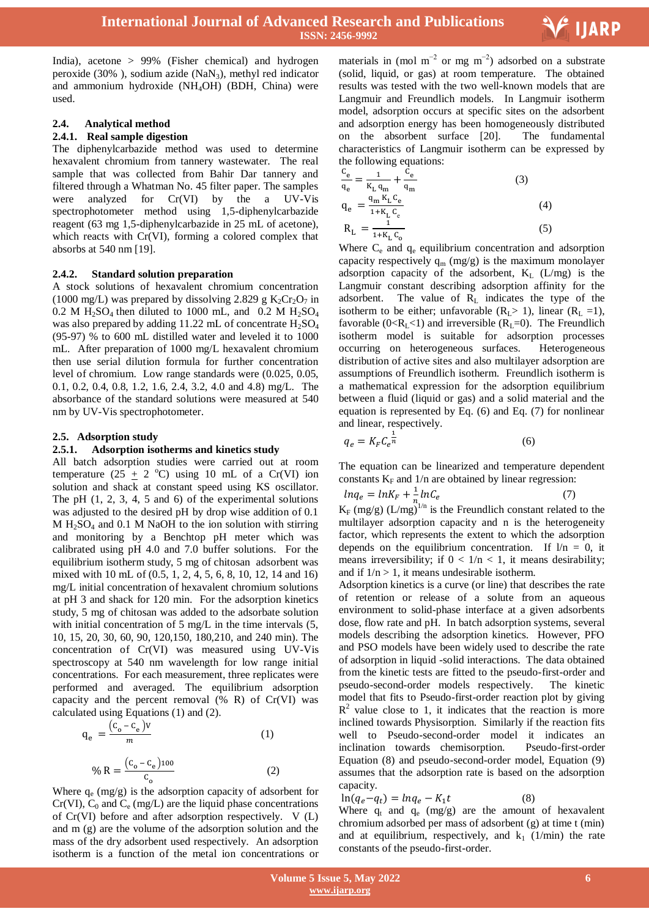

India), acetone > 99% (Fisher chemical) and hydrogen peroxide  $(30\%$ ), sodium azide  $(NaN_3)$ , methyl red indicator and ammonium hydroxide (NH4OH) (BDH, China) were used.

#### **2.4. Analytical method**

#### **2.4.1. Real sample digestion**

The diphenylcarbazide method was used to determine hexavalent chromium from tannery wastewater. The real sample that was collected from Bahir Dar tannery and filtered through a Whatman No. 45 filter paper. The samples were analyzed for Cr(VI) by the a UV-Vis spectrophotometer method using 1,5-diphenylcarbazide reagent (63 mg 1,5-diphenylcarbazide in 25 mL of acetone), which reacts with Cr(VI), forming a colored complex that absorbs at 540 nm [19].

#### **2.4.2. Standard solution preparation**

A stock solutions of hexavalent chromium concentration (1000 mg/L) was prepared by dissolving 2.829 g  $K_2Cr_2O_7$  in  $0.2$  M H<sub>2</sub>SO<sub>4</sub> then diluted to 1000 mL, and 0.2 M H<sub>2</sub>SO<sub>4</sub> was also prepared by adding 11.22 mL of concentrate  $H_2SO_4$ (95-97) % to 600 mL distilled water and leveled it to 1000 mL. After preparation of 1000 mg/L hexavalent chromium then use serial dilution formula for further concentration level of chromium. Low range standards were (0.025, 0.05, 0.1, 0.2, 0.4, 0.8, 1.2, 1.6, 2.4, 3.2, 4.0 and 4.8) mg/L. The absorbance of the standard solutions were measured at 540 nm by UV-Vis spectrophotometer.

#### **2.5. Adsorption study**

#### **2.5.1. Adsorption isotherms and kinetics study**

All batch adsorption studies were carried out at room temperature (25  $\pm$  2 °C) using 10 mL of a Cr(VI) ion solution and shack at constant speed using KS oscillator. The pH  $(1, 2, 3, 4, 5, 5)$  and 6) of the experimental solutions was adjusted to the desired pH by drop wise addition of 0.1  $M H<sub>2</sub>SO<sub>4</sub>$  and 0.1 M NaOH to the ion solution with stirring and monitoring by a Benchtop pH meter which was calibrated using pH 4.0 and 7.0 buffer solutions. For the equilibrium isotherm study, 5 mg of chitosan adsorbent was mixed with 10 mL of (0.5, 1, 2, 4, 5, 6, 8, 10, 12, 14 and 16) mg/L initial concentration of hexavalent chromium solutions at pH 3 and shack for 120 min. For the adsorption kinetics study, 5 mg of chitosan was added to the adsorbate solution with initial concentration of 5 mg/L in the time intervals (5, 10, 15, 20, 30, 60, 90, 120,150, 180,210, and 240 min). The concentration of Cr(VI) was measured using UV-Vis spectroscopy at 540 nm wavelength for low range initial concentrations. For each measurement, three replicates were performed and averaged. The equilibrium adsorption capacity and the percent removal  $(\% R)$  of Cr(VI) was calculated using Equations (1) and (2).

$$
q_e = \frac{(C_o - C_e)V}{m}
$$
 (1)  

$$
\% R = \frac{(C_o - C_e)100}{C_o}
$$
 (2)

Where  $q_e$  (mg/g) is the adsorption capacity of adsorbent for  $Cr(VI)$ ,  $C_0$  and  $C_e$  (mg/L) are the liquid phase concentrations of Cr(VI) before and after adsorption respectively. V (L) and m (g) are the volume of the adsorption solution and the mass of the dry adsorbent used respectively. An adsorption isotherm is a function of the metal ion concentrations or

materials in (mol m<sup>-2</sup> or mg m<sup>-2</sup>) adsorbed on a substrate (solid, liquid, or gas) at room temperature. The obtained results was tested with the two well-known models that are Langmuir and Freundlich models. In Langmuir isotherm model, adsorption occurs at specific sites on the adsorbent and adsorption energy has been homogeneously distributed on the absorbent surface [20]. The fundamental characteristics of Langmuir isotherm can be expressed by the following equations:

$$
\frac{c_e}{q_e} = \frac{1}{K_L q_m} + \frac{c_e}{q_m}
$$
\n
$$
q_e = \frac{q_m K_L c_e}{1 + K_L c_e}
$$
\n
$$
R_L = \frac{1}{1 + K_L c_o}
$$
\n(3)\n(4)

Where  $C_e$  and  $q_e$  equilibrium concentration and adsorption capacity respectively  $q_m$  (mg/g) is the maximum monolayer adsorption capacity of the adsorbent,  $K_L$  (L/mg) is the Langmuir constant describing adsorption affinity for the adsorbent. The value of  $R<sub>L</sub>$  indicates the type of the isotherm to be either; unfavorable  $(R<sub>L</sub> > 1)$ , linear  $(R<sub>L</sub> = 1)$ , favorable ( $0 < R<sub>L</sub> < 1$ ) and irreversible ( $R<sub>L</sub> = 0$ ). The Freundlich isotherm model is suitable for adsorption processes occurring on heterogeneous surfaces. Heterogeneous distribution of active sites and also multilayer adsorption are assumptions of Freundlich isotherm. Freundlich isotherm is a mathematical expression for the adsorption equilibrium between a fluid (liquid or gas) and a solid material and the equation is represented by Eq. (6) and Eq. (7) for nonlinear and linear, respectively.

$$
q_e = K_F C_e^{\frac{1}{n}} \tag{6}
$$

The equation can be linearized and temperature dependent constants  $K_F$  and  $1/n$  are obtained by linear regression:

$$
lnq_e = lnK_F + \frac{1}{n_e}lnC_e
$$
 (7)

 $K_F$  (mg/g) (L/mg)<sup>1/n</sup> is the Freundlich constant related to the multilayer adsorption capacity and n is the heterogeneity factor, which represents the extent to which the adsorption depends on the equilibrium concentration. If  $1/n = 0$ , it means irreversibility; if  $0 < 1/n < 1$ , it means desirability; and if  $1/n > 1$ , it means undesirable isotherm.

Adsorption kinetics is a curve (or line) that describes the rate of retention or release of a solute from an aqueous environment to solid-phase interface at a given adsorbents dose, flow rate and pH. In batch adsorption systems, several models describing the adsorption kinetics. However, PFO and PSO models have been widely used to describe the rate of adsorption in liquid -solid interactions. The data obtained from the kinetic tests are fitted to the pseudo-first-order and pseudo-second-order models respectively. The kinetic model that fits to Pseudo-first-order reaction plot by giving  $R<sup>2</sup>$  value close to 1, it indicates that the reaction is more inclined towards Physisorption. Similarly if the reaction fits well to Pseudo-second-order model it indicates an inclination towards chemisorption. Pseudo-first-order Equation (8) and pseudo-second-order model, Equation (9) assumes that the adsorption rate is based on the adsorption capacity.

$$
\ln(q_e - q_t) = \ln q_e - K_1 t \tag{8}
$$

Where  $q_t$  and  $q_e$  (mg/g) are the amount of hexavalent chromium adsorbed per mass of adsorbent (g) at time t (min) and at equilibrium, respectively, and  $k_1$  (1/min) the rate constants of the pseudo-first-order.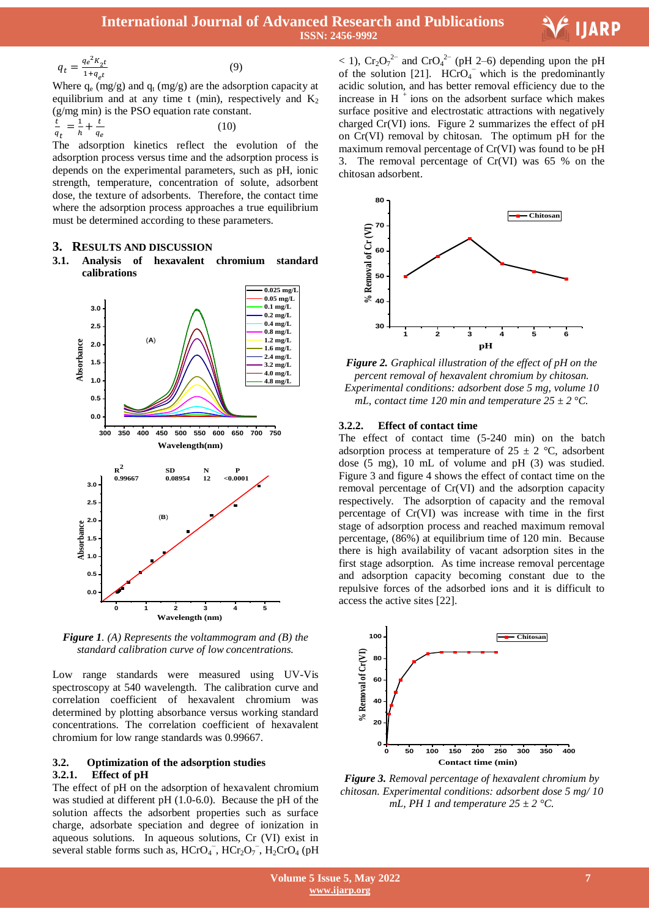

$$
q_t = \frac{q_e^2 K_{2t}}{1 + q_{\rho t}}\tag{9}
$$

Where  $q_e$  (mg/g) and  $q_t$  (mg/g) are the adsorption capacity at equilibrium and at any time t (min), respectively and  $K_2$ (g/mg min) is the PSO equation rate constant.

$$
\frac{t}{q_t} = \frac{1}{h} + \frac{t}{q_e} \tag{10}
$$

The adsorption kinetics reflect the evolution of the adsorption process versus time and the adsorption process is depends on the experimental parameters, such as pH, ionic strength, temperature, concentration of solute, adsorbent dose, the texture of adsorbents. Therefore, the contact time where the adsorption process approaches a true equilibrium must be determined according to these parameters.

# **3. RESULTS AND DISCUSSION**

# **3.1. Analysis of hexavalent chromium standard calibrations**



*Figure 1. (A) Represents the voltammogram and (B) the standard calibration curve of low concentrations.*

Low range standards were measured using UV-Vis spectroscopy at 540 wavelength. The calibration curve and correlation coefficient of hexavalent chromium was determined by plotting absorbance versus working standard concentrations. The correlation coefficient of hexavalent chromium for low range standards was 0.99667.

# **3.2. Optimization of the adsorption studies 3.2.1. Effect of pH**

The effect of pH on the adsorption of hexavalent chromium was studied at different pH (1.0-6.0). Because the pH of the solution affects the adsorbent properties such as surface charge, adsorbate speciation and degree of ionization in aqueous solutions. In aqueous solutions, Cr (VI) exist in several stable forms such as,  $HCrO<sub>4</sub>$ ,  $HCr<sub>2</sub>O<sub>7</sub>$ ,  $H<sub>2</sub>CrO<sub>4</sub>$  (pH

 $<$  1),  $Cr_2O_7^{2-}$  and  $CrO_4^{2-}$  (pH 2–6) depending upon the pH of the solution [21].  $\text{HCrO}_4$ <sup>-</sup> which is the predominantly acidic solution, and has better removal efficiency due to the increase in  $H^+$ ions on the adsorbent surface which makes surface positive and electrostatic attractions with negatively charged Cr(VI) ions. Figure 2 summarizes the effect of pH on Cr(VI) removal by chitosan. The optimum pH for the maximum removal percentage of Cr(VI) was found to be pH 3. The removal percentage of Cr(VI) was 65 % on the chitosan adsorbent.



*Figure 2. Graphical illustration of the effect of pH on the percent removal of hexavalent chromium by chitosan. Experimental conditions: adsorbent dose 5 mg, volume 10 mL, contact time 120 min and temperature 25 ± 2 °C.*

# **3.2.2. Effect of contact time**

The effect of contact time (5-240 min) on the batch adsorption process at temperature of  $25 \pm 2$  °C, adsorbent dose (5 mg), 10 mL of volume and pH (3) was studied. Figure 3 and figure 4 shows the effect of contact time on the removal percentage of Cr(VI) and the adsorption capacity respectively. The adsorption of capacity and the removal percentage of Cr(VI) was increase with time in the first stage of adsorption process and reached maximum removal percentage, (86%) at equilibrium time of 120 min. Because there is high availability of vacant adsorption sites in the first stage adsorption. As time increase removal percentage and adsorption capacity becoming constant due to the repulsive forces of the adsorbed ions and it is difficult to access the active sites [22].



*Figure 3. Removal percentage of hexavalent chromium by chitosan. Experimental conditions: adsorbent dose 5 mg/ 10 mL, PH 1 and temperature 25 ± 2 °C.*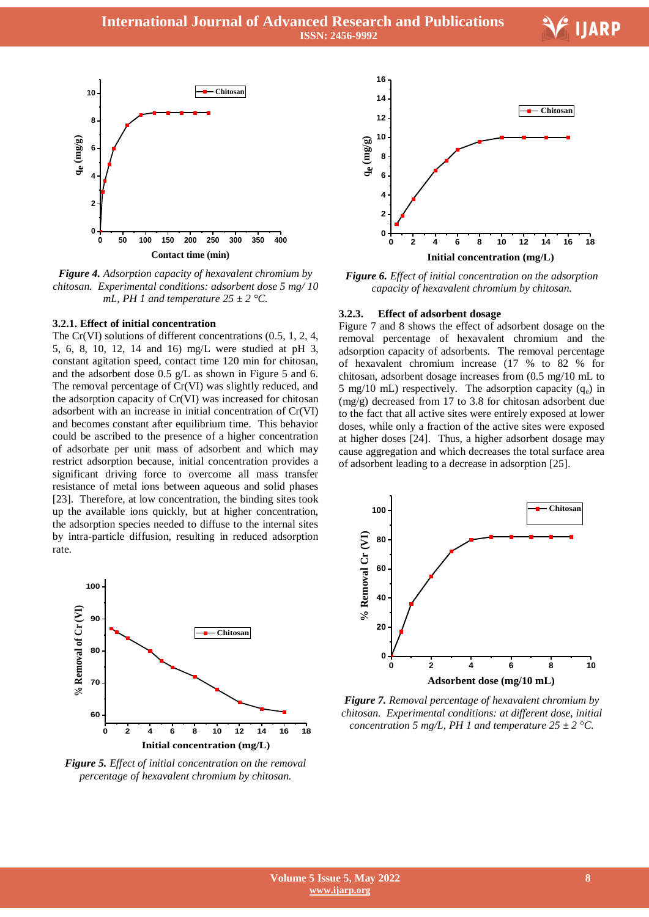Ξ



*Figure 4. Adsorption capacity of hexavalent chromium by chitosan. Experimental conditions: adsorbent dose 5 mg/ 10 mL, PH 1 and temperature 25 ± 2 °C.*

#### **3.2.1. Effect of initial concentration**

The Cr(VI) solutions of different concentrations (0.5, 1, 2, 4, 5, 6, 8, 10, 12, 14 and 16) mg/L were studied at pH 3, constant agitation speed, contact time 120 min for chitosan, and the adsorbent dose 0.5 g/L as shown in Figure 5 and 6. The removal percentage of Cr(VI) was slightly reduced, and the adsorption capacity of Cr(VI) was increased for chitosan adsorbent with an increase in initial concentration of Cr(VI) and becomes constant after equilibrium time. This behavior could be ascribed to the presence of a higher concentration of adsorbate per unit mass of adsorbent and which may restrict adsorption because, initial concentration provides a significant driving force to overcome all mass transfer resistance of metal ions between aqueous and solid phases [23]. Therefore, at low concentration, the binding sites took up the available ions quickly, but at higher concentration, the adsorption species needed to diffuse to the internal sites by intra-particle diffusion, resulting in reduced adsorption rate.



*Figure 5. Effect of initial concentration on the removal percentage of hexavalent chromium by chitosan.*



*Figure 6. Effect of initial concentration on the adsorption capacity of hexavalent chromium by chitosan.*

#### **3.2.3. Effect of adsorbent dosage**

Figure 7 and 8 shows the effect of adsorbent dosage on the removal percentage of hexavalent chromium and the adsorption capacity of adsorbents. The removal percentage of hexavalent chromium increase (17 % to 82 % for chitosan, adsorbent dosage increases from (0.5 mg/10 mL to 5 mg/10 mL) respectively. The adsorption capacity  $(q_e)$  in (mg/g) decreased from 17 to 3.8 for chitosan adsorbent due to the fact that all active sites were entirely exposed at lower doses, while only a fraction of the active sites were exposed at higher doses [24]. Thus, a higher adsorbent dosage may cause aggregation and which decreases the total surface area of adsorbent leading to a decrease in adsorption [25].



*Figure 7. Removal percentage of hexavalent chromium by chitosan. Experimental conditions: at different dose, initial concentration 5 mg/L, PH 1 and temperature*  $25 \pm 2$  *°C.*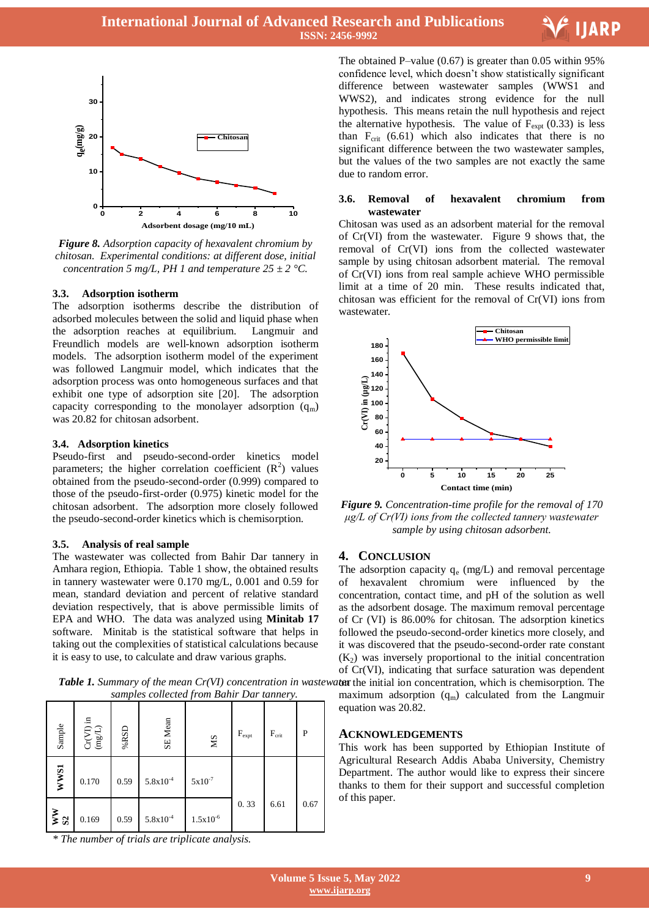



*Figure 8. Adsorption capacity of hexavalent chromium by chitosan. Experimental conditions: at different dose, initial concentration 5 mg/L, PH 1 and temperature*  $25 \pm 2$  *°C.* 

#### **3.3. Adsorption isotherm**

The adsorption isotherms describe the distribution of adsorbed molecules between the solid and liquid phase when the adsorption reaches at equilibrium. Langmuir and Freundlich models are well-known adsorption isotherm models. The adsorption isotherm model of the experiment was followed Langmuir model, which indicates that the adsorption process was onto homogeneous surfaces and that exhibit one type of adsorption site [20]. The adsorption capacity corresponding to the monolayer adsorption  $(q_m)$ was 20.82 for chitosan adsorbent.

#### **3.4. Adsorption kinetics**

Pseudo-first and pseudo-second-order kinetics model parameters; the higher correlation coefficient  $(R^2)$  values obtained from the pseudo-second-order (0.999) compared to those of the pseudo-first-order (0.975) kinetic model for the chitosan adsorbent. The adsorption more closely followed the pseudo-second-order kinetics which is chemisorption.

#### **3.5. Analysis of real sample**

The wastewater was collected from Bahir Dar tannery in Amhara region, Ethiopia. Table 1 show, the obtained results in tannery wastewater were 0.170 mg/L, 0.001 and 0.59 for mean, standard deviation and percent of relative standard deviation respectively, that is above permissible limits of EPA and WHO. The data was analyzed using **Minitab 17** software. Minitab is the statistical software that helps in taking out the complexities of statistical calculations because it is easy to use, to calculate and draw various graphs.

*Table 1. Summary of the mean Cr(VI) concentration in wastew samples collected from Bahir Dar tannery.*

| Sample         | $\text{Cr(VI)}$ in (mg/L) | $\%$ RSD | SE Mean       | $\mathbf{M} \mathbf{S}$ | $F_{\rm expt}$ | $F_{\rm crit}$ | P    |
|----------------|---------------------------|----------|---------------|-------------------------|----------------|----------------|------|
| <b>WWS1</b>    | 0.170                     | 0.59     | $5.8x10^{-4}$ | $5x10^{-7}$             |                |                |      |
| $\frac{W}{S2}$ | 0.169                     | 0.59     | $5.8x10^{-4}$ | $1.5x10^{-6}$           | 0.33           | 6.61           | 0.67 |

*\* The number of trials are triplicate analysis.*

 The obtained P–value (0.67) is greater than 0.05 within 95% confidence level, which doesn't show statistically significant difference between wastewater samples (WWS1 and WWS2), and indicates strong evidence for the null hypothesis. This means retain the null hypothesis and reject the alternative hypothesis. The value of  $F_{\text{expt}}(0.33)$  is less than  $F_{crit}$  (6.61) which also indicates that there is no significant difference between the two wastewater samples, but the values of the two samples are not exactly the same due to random error.

#### **3.6. Removal of hexavalent chromium from wastewater**

Chitosan was used as an adsorbent material for the removal of Cr(VI) from the wastewater. Figure 9 shows that, the removal of Cr(VI) ions from the collected wastewater sample by using chitosan adsorbent material. The removal of Cr(VI) ions from real sample achieve WHO permissible limit at a time of 20 min. These results indicated that, chitosan was efficient for the removal of Cr(VI) ions from wastewater.



*Figure 9. Concentration-time profile for the removal of 170 μg/L of Cr(VI) ions from the collected tannery wastewater sample by using chitosan adsorbent.*

#### **4. CONCLUSION**

The adsorption capacity  $q_e$  (mg/L) and removal percentage of hexavalent chromium were influenced by the concentration, contact time, and pH of the solution as well as the adsorbent dosage. The maximum removal percentage of Cr (VI) is 86.00% for chitosan. The adsorption kinetics followed the pseudo-second-order kinetics more closely, and it was discovered that the pseudo-second-order rate constant  $(K<sub>2</sub>)$  was inversely proportional to the initial concentration of Cr(VI), indicating that surface saturation was dependent aten the initial ion concentration, which is chemisorption. The maximum adsorption  $(q_m)$  calculated from the Langmuir

**ACKNOWLEDGEMENTS**

equation was 20.82.

This work has been supported by Ethiopian Institute of Agricultural Research Addis Ababa University, Chemistry Department. The author would like to express their sincere thanks to them for their support and successful completion of this paper.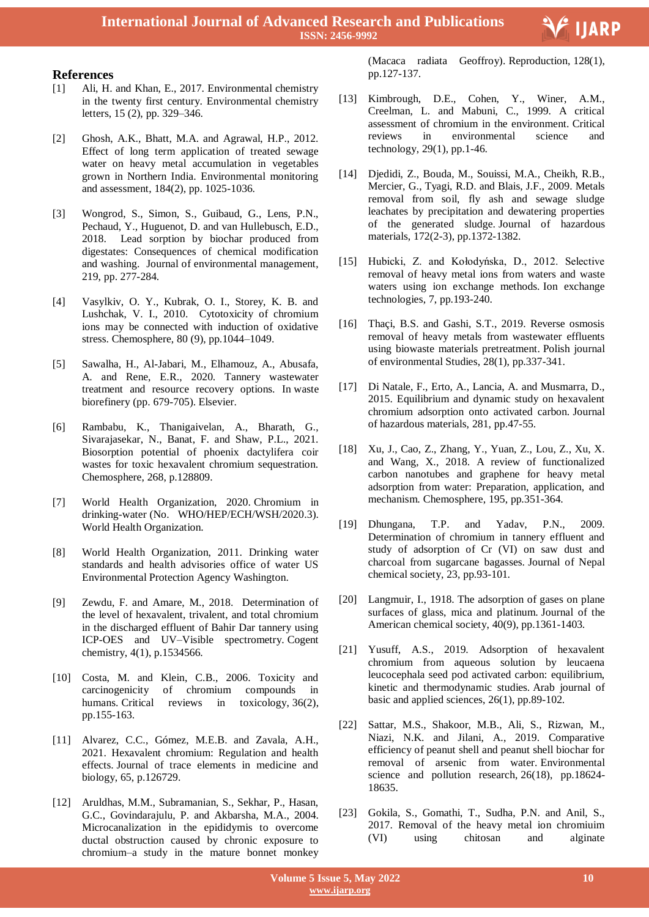

# **References**

- [1] Ali, H. and Khan, E., 2017. Environmental chemistry in the twenty first century. Environmental chemistry letters, 15 (2), pp. 329–346.
- [2] Ghosh, A.K., Bhatt, M.A. and Agrawal, H.P., 2012. Effect of long term application of treated sewage water on heavy metal accumulation in vegetables grown in Northern India. Environmental monitoring and assessment, 184(2), pp. 1025-1036.
- [3] Wongrod, S., Simon, S., Guibaud, G., Lens, P.N., Pechaud, Y., Huguenot, D. and van Hullebusch, E.D., 2018. Lead sorption by biochar produced from digestates: Consequences of chemical modification and washing. Journal of environmental management, 219, pp. 277-284.
- [4] Vasylkiv, O. Y., Kubrak, O. I., Storey, K. B. and Lushchak, V. I., 2010. Cytotoxicity of chromium ions may be connected with induction of oxidative stress. Chemosphere, 80 (9), pp.1044–1049.
- [5] Sawalha, H., Al-Jabari, M., Elhamouz, A., Abusafa, A. and Rene, E.R., 2020. Tannery wastewater treatment and resource recovery options. In waste biorefinery (pp. 679-705). Elsevier.
- [6] Rambabu, K., Thanigaivelan, A., Bharath, G., Sivarajasekar, N., Banat, F. and Shaw, P.L., 2021. Biosorption potential of phoenix dactylifera coir wastes for toxic hexavalent chromium sequestration. Chemosphere, 268, p.128809.
- [7] World Health Organization, 2020. Chromium in drinking-water (No. WHO/HEP/ECH/WSH/2020.3). World Health Organization.
- [8] World Health Organization, 2011. Drinking water standards and health advisories office of water US Environmental Protection Agency Washington.
- [9] Zewdu, F. and Amare, M., 2018. Determination of the level of hexavalent, trivalent, and total chromium in the discharged effluent of Bahir Dar tannery using ICP-OES and UV–Visible spectrometry. Cogent chemistry, 4(1), p.1534566.
- [10] Costa, M. and Klein, C.B., 2006. Toxicity and carcinogenicity of chromium compounds in humans. Critical reviews in toxicology, 36(2), pp.155-163.
- [11] Alvarez, C.C., Gómez, M.E.B. and Zavala, A.H., 2021. Hexavalent chromium: Regulation and health effects. Journal of trace elements in medicine and biology, 65, p.126729.
- [12] Aruldhas, M.M., Subramanian, S., Sekhar, P., Hasan, G.C., Govindarajulu, P. and Akbarsha, M.A., 2004. Microcanalization in the epididymis to overcome ductal obstruction caused by chronic exposure to chromium–a study in the mature bonnet monkey

 (Macaca radiata Geoffroy). Reproduction, 128(1), pp.127-137.

- [13] Kimbrough, D.E., Cohen, Y., Winer, A.M., Creelman, L. and Mabuni, C., 1999. A critical assessment of chromium in the environment. Critical reviews in environmental science and technology, 29(1), pp.1-46.
- [14] Djedidi, Z., Bouda, M., Souissi, M.A., Cheikh, R.B., Mercier, G., Tyagi, R.D. and Blais, J.F., 2009. Metals removal from soil, fly ash and sewage sludge leachates by precipitation and dewatering properties of the generated sludge. Journal of hazardous materials, 172(2-3), pp.1372-1382.
- [15] Hubicki, Z. and Kołodyńska, D., 2012. Selective removal of heavy metal ions from waters and waste waters using ion exchange methods. Ion exchange technologies, 7, pp.193-240.
- [16] Thaci, B.S. and Gashi, S.T., 2019. Reverse osmosis removal of heavy metals from wastewater effluents using biowaste materials pretreatment. Polish journal of environmental Studies, 28(1), pp.337-341.
- [17] Di Natale, F., Erto, A., Lancia, A. and Musmarra, D., 2015. Equilibrium and dynamic study on hexavalent chromium adsorption onto activated carbon. Journal of hazardous materials, 281, pp.47-55.
- [18] Xu, J., Cao, Z., Zhang, Y., Yuan, Z., Lou, Z., Xu, X. and Wang, X., 2018. A review of functionalized carbon nanotubes and graphene for heavy metal adsorption from water: Preparation, application, and mechanism. Chemosphere, 195, pp.351-364.
- [19] Dhungana, T.P. and Yadav, P.N., 2009. Determination of chromium in tannery effluent and study of adsorption of Cr (VI) on saw dust and charcoal from sugarcane bagasses. Journal of Nepal chemical society, 23, pp.93-101.
- [20] Langmuir, I., 1918. The adsorption of gases on plane surfaces of glass, mica and platinum. Journal of the American chemical society, 40(9), pp.1361-1403.
- [21] Yusuff, A.S., 2019. Adsorption of hexavalent chromium from aqueous solution by leucaena leucocephala seed pod activated carbon: equilibrium, kinetic and thermodynamic studies. Arab journal of basic and applied sciences, 26(1), pp.89-102.
- [22] Sattar, M.S., Shakoor, M.B., Ali, S., Rizwan, M., Niazi, N.K. and Jilani, A., 2019. Comparative efficiency of peanut shell and peanut shell biochar for removal of arsenic from water. Environmental science and pollution research, 26(18), pp.18624- 18635.
- [23] Gokila, S., Gomathi, T., Sudha, P.N. and Anil, S., 2017. Removal of the heavy metal ion chromiuim (VI) using chitosan and alginate